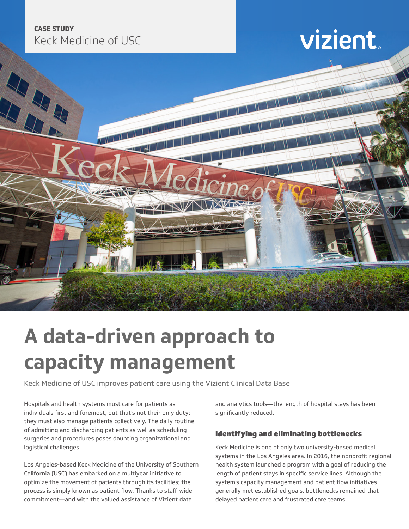### **CASE STUDY** Keck Medicine of USC

### vizient



### **A data-driven approach to capacity management**

Keck Medicine of USC improves patient care using the Vizient Clinical Data Base

Hospitals and health systems must care for patients as individuals first and foremost, but that's not their only duty; they must also manage patients collectively. The daily routine of admitting and discharging patients as well as scheduling surgeries and procedures poses daunting organizational and logistical challenges.

Los Angeles-based Keck Medicine of the University of Southern California (USC) has embarked on a multiyear initiative to optimize the movement of patients through its facilities; the process is simply known as patient flow. Thanks to staff-wide commitment—and with the valued assistance of Vizient data

and analytics tools—the length of hospital stays has been significantly reduced.

#### Identifying and eliminating bottlenecks

Keck Medicine is one of only two university-based medical systems in the Los Angeles area. In 2016, the nonprofit regional health system launched a program with a goal of reducing the length of patient stays in specific service lines. Although the system's capacity management and patient flow initiatives generally met established goals, bottlenecks remained that delayed patient care and frustrated care teams.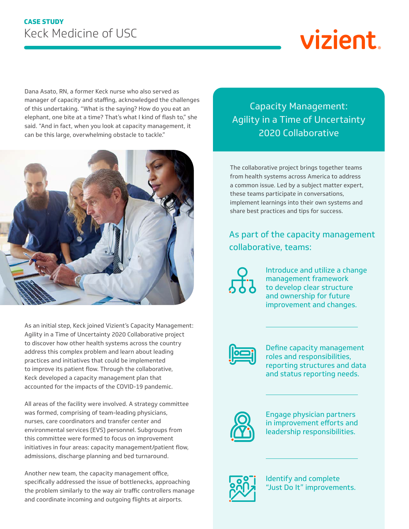# vizient

Dana Asato, RN, a former Keck nurse who also served as manager of capacity and staffing, acknowledged the challenges of this undertaking. "What is the saying? How do you eat an elephant, one bite at a time? That's what I kind of flash to," she said. "And in fact, when you look at capacity management, it can be this large, overwhelming obstacle to tackle."



As an initial step, Keck joined Vizient's Capacity Management: Agility in a Time of Uncertainty 2020 Collaborative project to discover how other health systems across the country address this complex problem and learn about leading practices and initiatives that could be implemented to improve its patient flow. Through the collaborative, Keck developed a capacity management plan that accounted for the impacts of the COVID-19 pandemic.

All areas of the facility were involved. A strategy committee was formed, comprising of team-leading physicians, nurses, care coordinators and transfer center and environmental services (EVS) personnel. Subgroups from this committee were formed to focus on improvement initiatives in four areas: capacity management/patient flow, admissions, discharge planning and bed turnaround.

Another new team, the capacity management office, specifically addressed the issue of bottlenecks, approaching the problem similarly to the way air traffic controllers manage and coordinate incoming and outgoing flights at airports.

Capacity Management: Agility in a Time of Uncertainty 2020 Collaborative

The collaborative project brings together teams from health systems across America to address a common issue. Led by a subject matter expert, these teams participate in conversations, implement learnings into their own systems and share best practices and tips for success.

As part of the capacity management collaborative, teams:

 $\vec{AB}$ 

Introduce and utilize a change management framework to develop clear structure and ownership for future improvement and changes.



Define capacity management roles and responsibilities, reporting structures and data and status reporting needs.



Engage physician partners in improvement efforts and leadership responsibilities.



Identify and complete "Just Do It" improvements.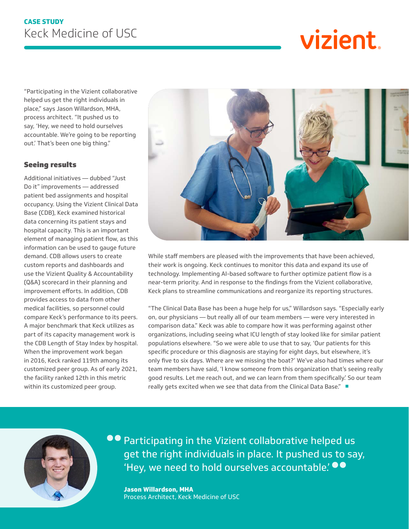# vizient

"Participating in the Vizient collaborative helped us get the right individuals in place," says Jason Willardson, MHA, process architect. "It pushed us to say, 'Hey, we need to hold ourselves accountable. We're going to be reporting out.' That's been one big thing."

#### Seeing results

Additional initiatives — dubbed "Just Do it" improvements — addressed patient bed assignments and hospital occupancy. Using the Vizient Clinical Data Base (CDB), Keck examined historical data concerning its patient stays and hospital capacity. This is an important element of managing patient flow, as this information can be used to gauge future demand. CDB allows users to create custom reports and dashboards and use the Vizient Quality & Accountability (Q&A) scorecard in their planning and improvement efforts. In addition, CDB provides access to data from other medical facilities, so personnel could compare Keck's performance to its peers. A major benchmark that Keck utilizes as part of its capacity management work is the CDB Length of Stay Index by hospital. When the improvement work began in 2016, Keck ranked 119th among its customized peer group. As of early 2021, the facility ranked 12th in this metric within its customized peer group.



While staff members are pleased with the improvements that have been achieved, their work is ongoing. Keck continues to monitor this data and expand its use of technology. Implementing AI-based software to further optimize patient flow is a near-term priority. And in response to the findings from the Vizient collaborative, Keck plans to streamline communications and reorganize its reporting structures.

"The Clinical Data Base has been a huge help for us," Willardson says. "Especially early on, our physicians — but really all of our team members — were very interested in comparison data." Keck was able to compare how it was performing against other organizations, including seeing what ICU length of stay looked like for similar patient populations elsewhere. "So we were able to use that to say, 'Our patients for this specific procedure or this diagnosis are staying for eight days, but elsewhere, it's only five to six days. Where are we missing the boat?' We've also had times where our team members have said, 'I know someone from this organization that's seeing really good results. Let me reach out, and we can learn from them specifically.' So our team really gets excited when we see that data from the Clinical Data Base." ■



**•** Participating in the Vizient collaborative helped us get the right individuals in place. It pushed us to say, 'Hey, we need to hold ourselves accountable.'

**Jason Willardson, MHA** Process Architect, Keck Medicine of USC